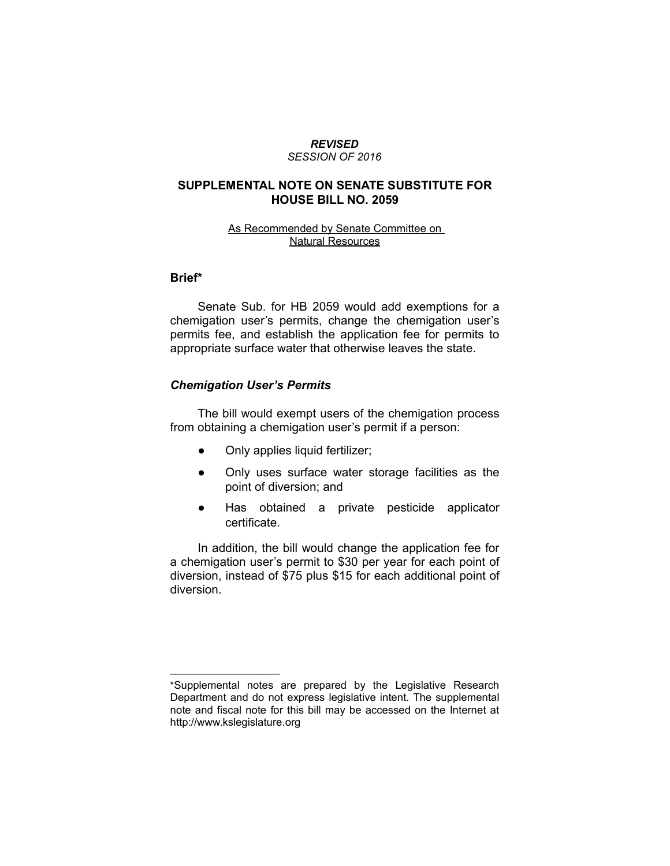#### *REVISED SESSION OF 2016*

# **SUPPLEMENTAL NOTE ON SENATE SUBSTITUTE FOR HOUSE BILL NO. 2059**

### As Recommended by Senate Committee on Natural Resources

### **Brief\***

Senate Sub. for HB 2059 would add exemptions for a chemigation user's permits, change the chemigation user's permits fee, and establish the application fee for permits to appropriate surface water that otherwise leaves the state.

### *Chemigation User's Permits*

 $\overline{\phantom{a}}$  , where  $\overline{\phantom{a}}$  , where  $\overline{\phantom{a}}$ 

The bill would exempt users of the chemigation process from obtaining a chemigation user's permit if a person:

- Only applies liquid fertilizer;
- Only uses surface water storage facilities as the point of diversion; and
- Has obtained a private pesticide applicator certificate.

In addition, the bill would change the application fee for a chemigation user's permit to \$30 per year for each point of diversion, instead of \$75 plus \$15 for each additional point of diversion.

<sup>\*</sup>Supplemental notes are prepared by the Legislative Research Department and do not express legislative intent. The supplemental note and fiscal note for this bill may be accessed on the Internet at http://www.kslegislature.org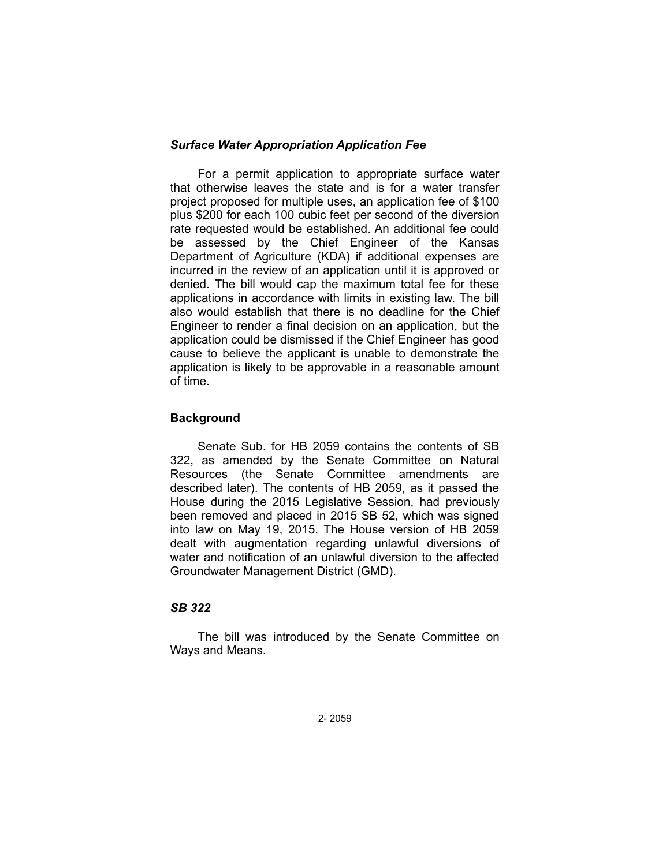## *Surface Water Appropriation Application Fee*

For a permit application to appropriate surface water that otherwise leaves the state and is for a water transfer project proposed for multiple uses, an application fee of \$100 plus \$200 for each 100 cubic feet per second of the diversion rate requested would be established. An additional fee could be assessed by the Chief Engineer of the Kansas Department of Agriculture (KDA) if additional expenses are incurred in the review of an application until it is approved or denied. The bill would cap the maximum total fee for these applications in accordance with limits in existing law. The bill also would establish that there is no deadline for the Chief Engineer to render a final decision on an application, but the application could be dismissed if the Chief Engineer has good cause to believe the applicant is unable to demonstrate the application is likely to be approvable in a reasonable amount of time.

# **Background**

Senate Sub. for HB 2059 contains the contents of SB 322, as amended by the Senate Committee on Natural Resources (the Senate Committee amendments are described later). The contents of HB 2059, as it passed the House during the 2015 Legislative Session, had previously been removed and placed in 2015 SB 52, which was signed into law on May 19, 2015. The House version of HB 2059 dealt with augmentation regarding unlawful diversions of water and notification of an unlawful diversion to the affected Groundwater Management District (GMD).

# *SB 322*

The bill was introduced by the Senate Committee on Ways and Means.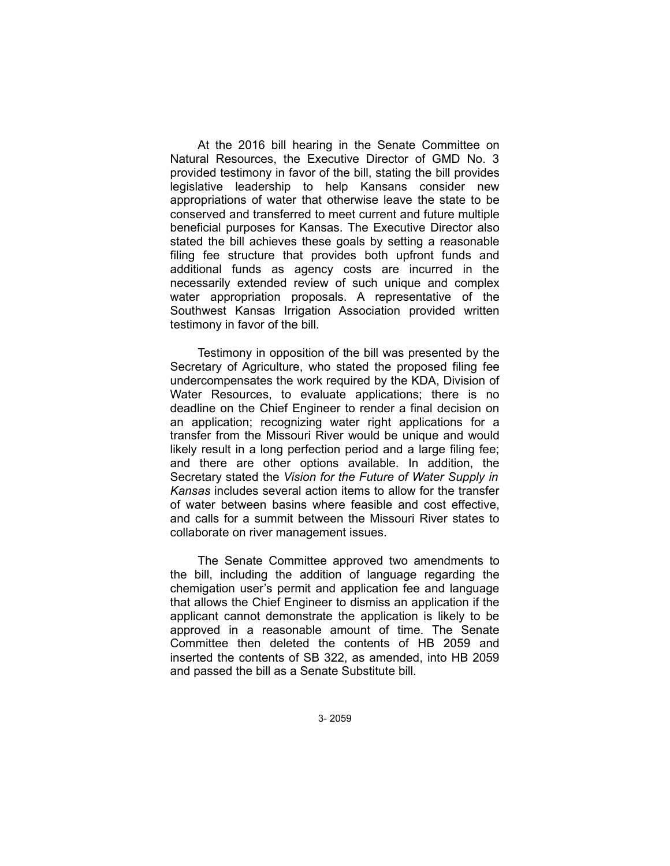At the 2016 bill hearing in the Senate Committee on Natural Resources, the Executive Director of GMD No. 3 provided testimony in favor of the bill, stating the bill provides legislative leadership to help Kansans consider new appropriations of water that otherwise leave the state to be conserved and transferred to meet current and future multiple beneficial purposes for Kansas. The Executive Director also stated the bill achieves these goals by setting a reasonable filing fee structure that provides both upfront funds and additional funds as agency costs are incurred in the necessarily extended review of such unique and complex water appropriation proposals. A representative of the Southwest Kansas Irrigation Association provided written testimony in favor of the bill.

Testimony in opposition of the bill was presented by the Secretary of Agriculture, who stated the proposed filing fee undercompensates the work required by the KDA, Division of Water Resources, to evaluate applications; there is no deadline on the Chief Engineer to render a final decision on an application; recognizing water right applications for a transfer from the Missouri River would be unique and would likely result in a long perfection period and a large filing fee; and there are other options available. In addition, the Secretary stated the *Vision for the Future of Water Supply in Kansas* includes several action items to allow for the transfer of water between basins where feasible and cost effective, and calls for a summit between the Missouri River states to collaborate on river management issues.

The Senate Committee approved two amendments to the bill, including the addition of language regarding the chemigation user's permit and application fee and language that allows the Chief Engineer to dismiss an application if the applicant cannot demonstrate the application is likely to be approved in a reasonable amount of time. The Senate Committee then deleted the contents of HB 2059 and inserted the contents of SB 322, as amended, into HB 2059 and passed the bill as a Senate Substitute bill.